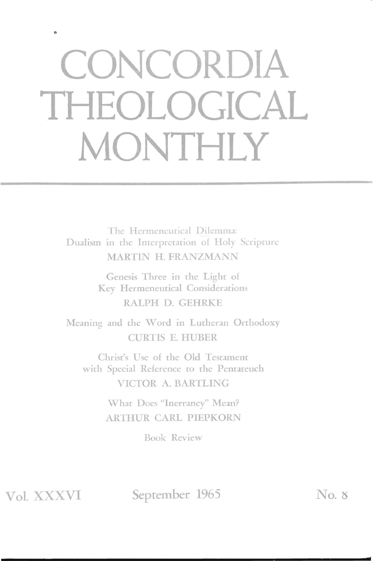## **CONCORDIA THEOLOGICAL MONTHLY**

The Hermeneutical Dilemma: Dualism in the Interpretation of Holy Scripture MARTIN H. FRANZMANN

> Genesis Three in the Light of Key Hermeneutical Considerations RALPH D. GEHRKE

Meaning and the Word in Lutheran Orthodoxy CURTIS E. HUBER

Christ's Use of the Old Testament with Special Reference to the Pentateuch VICTOR A. BARTLING

> What Does "Inerrancy" Mean? ARTHUR CARL PIEPKORN

> > Book Review

Vol. XXXVI

September 1965 No. 8

**d**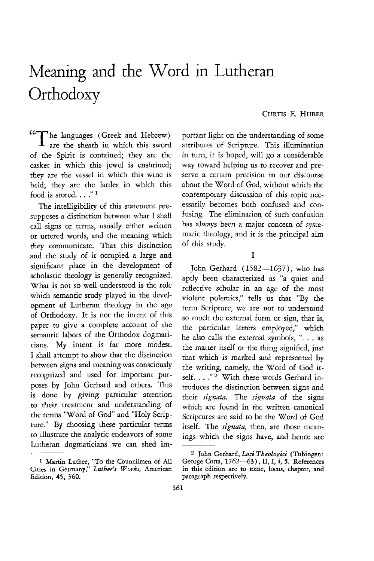## Meaning and the Word in Lutheran **Orthodoxy**

## CURTIS E. HUBER

"The languages (Greek and Hebrew)  $\perp$  are the sheath in which this sword of the Spirit is contained; they are the casket in which this jewel is enshrined; they are the vessel in which this wine is held; they are the larder in which this food is stored. . . ."<sup>1</sup>

The intelligibility of this statement presupposes a distinction between what I shall call signs or terms, usually either written or uttered words, and the meaning which they communicate. That this distinction and the study of it occupied a large and significant place in the development of scholastic theology is generally recognized. What is not so well understood is the role which semantic study played in the development of Lutheran theology in the age of Orthodoxy. It is not the intent of this paper to give a complete account of the semantic labors of the Orthodox dogmaticians. My intent is far more modest. I shall attempt to show that the distinction between signs and meaning was consciously recognized and used for important purposes by John Gerhard and others. This is done by giving particular attention to their treatment and understanding of the terms "Word of God" and "Holy Scripture." By choosing these particular terms to illustrate the analytic endeavors of some Lutheran dogmaticians we can shed important light on the understanding of some attributes of Scripture. This illumination in turn, it is hoped, will go a considerable way toward helping us to recover and preserve a certain precision in our discourse about the Word of God, without which the contemporary discussion of this topic necessarily becomes both confused and confusing. The elimination of such confusion has always been a major concern of systematic theology, and it is the principal aim of this study.

## I

John Gerhard (1582-1637), who has aptly been characterized as "a quiet and reflective scholar in an age of the most violent polemics," tells us that "By the term Scripture, we are not to understand so much the external form or sign, that is, the particular letters employed," which he also calls the external symbols, ". . . as the matter itself or the thing signified, just that which is marked and represented by the writing, namely, the Word of God itself. . . . " <sup>2</sup> With these words Gerhard introduces the distinction between signs and their *signata.* The *signata* of the signs which are found in the written canonical Scriptures are said to be the Word of God itself. The *signata*, then, are those meanings which the signs have, and hence are

<sup>1</sup> Martin Luther, "To the Councilmen of All Cities in Germany," Luther's Works, American *Edition,* 45, 360.

<sup>&</sup>lt;sup>2</sup> John Gerhard, Loci Theologici (Tübingen: George Cotta, 1762-63), II, I, i, 5. References *in* this edition are to tome, locus, chapter, and paragraph respectively.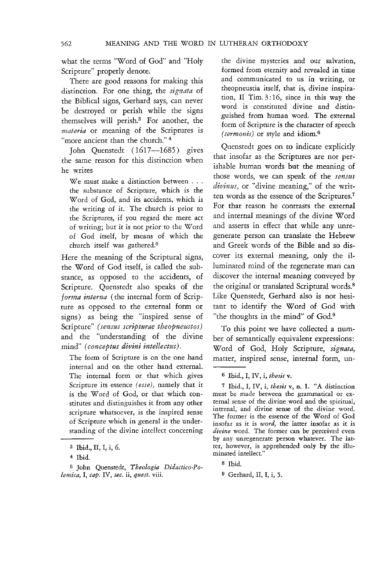what the terms "Word of God" and "Holy Scripture" properly denote.

There are good reasons for making this distinction. For one thing, the *signata* of the Biblical signs, Gerhard says, can never be destroyed or perish while the signs themselves will perish.3 For another, the *materia* or meaning of the Scriptures is "more ancient than the church."<sup>4</sup>

John Quenstedt (1617-1685) gives the same reason for this distinction when he writes

We must make a distinction between . . . the substance of Scripture, which is the Word of God, and its accidents, which is the writing of it. The church is prior to the Scriptures, if you regard the mere act of writing; but it is not prior to the Word of God itself, by means of which the church itself was gathered.<sup>5</sup>

Here the meaning of the Scriptural signs, the Word of God itself, is called the substance, as opposed to the accidents, of Scripture. Quenstedt also speaks of the *forma interna* (the internal form of Scripture as opposed to the external form or signs) as being the "inspired sense of Scripture" (sensus scripturae theopneustos) and the "understanding of the divine mind" *(conceptus divini intellectus).* 

The form of Scripture is on the one hand internal and on the other hand external. The internal form or that which gives Scripture its essence *(esse),* namely that it is the Word of God, or that which constitutes and distinguishes it from any other scripture whatsoever, is the inspired sense of Scripture which in general is the understanding of the divine intellect concerning

the divine mysteries and our salvation, formed from eternity and revealed in time and communicated to us in writing, or theopneustia itself, that is, divine inspiration, II Tim. 3: 16, since in this way the word is constituted divine and distinguished from human word. The external form of Scripture is the character of speech *(sermonis)* or style and idiom.6

Quenstedt goes on to indicate explicitly that insofar as the Scriptures are not perishable human words but the meaning of those words, we can speak of the *sensus divinus,* or "divine meaning," of the written words as the essence of the Scriptures.<sup>7</sup> For that reason he contrasts the external and internal meanings of the divine Word and asserts in effect that while any unregenerate person can translate the Hebrew and Greek words of the Bible and so discover its external meaning, only the illuminated mind of the regenerate man can discover the internal meaning conveyed by the original or translated Scriptural words.<sup>8</sup> Like Quenstedt, Gerhard also is not hesitant to identify the Word of God with "the thoughts in the mind" of God.<sup>9</sup>

To this point we have collected a number of semantically equivalent expressions: Word of God, Holy Scripture, *signata,*  matter, inspired sense, internal form, un-

7 Ibid., I, IV, i, *thesis* v, n. 1. "A distinction must be made between the grammatical or external sense of the divine word and the spiritual, internal, and divine sense of the divine word. The former is the essence of the Word of God insofar as it is *word,* the latter insofar as it is by any unregenerate person whatever. The latter, however, is apprehended only by the illuminated intellect."

<sup>3</sup> Ibid., II, I, i, 6.

<sup>4</sup> Ibid.

<sup>5</sup> John Quenstedt, *Theologia Didactico-Polemica,* I, *cap.* IV, *sec.* ii, *quest.* viii.

<sup>6</sup> Ibid., I, IV, i, *thesis* v.

<sup>8</sup> Ibid.

<sup>9</sup> Gerhard, II, I, i, 5.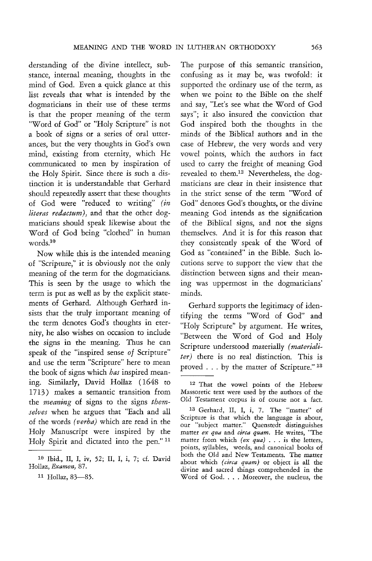derstanding of the divine intellect, substance, internal meaning, thoughts in the mind of God. Even a quick glance at this list reveals that what is intended by the dogmaticians in their use of these terms is that the proper meaning of the term "Word of God" or "Holy Scripture" is not a book of signs or a series of oral utterances, but the very thoughts in God's own mind, existing from eternity, which He communicated to men by inspiration of the Holy Spirit. Since there is such a distinction it is understandable that Gerhard should repeatedly assert that these thoughts of God were "reduced to writing" (in *literas redactum)*, and that the other dogmaticians should speak likewise about the Word of God being "clothed" in human words.10

Now while this is the intended meaning of "Scripture," it is obviously not the only meaning of the term for the dogmaticians. This is seen by the usage to which the term is put as well as by the explicit statements of Gerhard. Although Gerhard insists that the truly important meaning of the term denotes God's thoughts in eternity, he also wishes on occasion to include the signs in the meaning. Thus he can speak of the "inspired sense of Scripture" and use the term "Scripture" here to mean the book of signs which *has* inspired meaning. Similarly, David Hollaz (1648 to 1713) makes a semantic transition from the *meaning* of signs to the signs *themselves* when he argues that "Each and all of the words *(verba)* which are read in the Holy Manuscript were inspired by the Holy Spirit and dictated into the pen." <sup>11</sup>

The purpose of this semantic transition, confusing as it may be, was twofold: it supported the ordinary use of the term, as when we point to the Bible on the shelf and say, "Let's see what the Word of God says"; it also insured the conviction that God inspired both the thoughts in the minds of the Biblical authors and in the case of Hebrew, the very words and very vowel points, which the authors in fact used to carry the freight of meaning God revealed to them. $12$  Nevertheless, the dogmaticians are clear in their insistence that in the strict sense of the term "Word of God" denotes God's thoughts, or the divine meaning God intends as the signification of the Biblical signs, and not the signs themselves. And it is for this reason that they consistently speak of the Word of God as "contained" in the Bible. Such locutions serve to support the view that the distinction between signs and their meaning was uppermost in the dogmaticians' minds.

Gerhard supports the legitimacy of identifying the terms "Word of God" and "Holy Scripture" by argument. He writes, "Between the Word of God and Holy Scripture understood materially *(materialiter)* there is no real distinction. This is proved ... by the matter of Scripture." 13

<sup>10</sup> Ibid., II, I, iv, 52; II, I, i, 7; cf. David Hollaz, *Examen, 87.* 

<sup>&</sup>lt;sup>11</sup> Hollaz, 83-85.

<sup>12</sup> That the vowel points of the Hebrew Massoretic text were used by the authors of the Old Testament corpus is of course not a fact.

<sup>13</sup> Gerhard, II, I, i, 7. The "matter" of Scripture is that which the language is about, our "subject matter." Quenstedt distinguishes matter *ex qua* and *circa quam.* He writes, "The matter from which *(ex* qua) ... is the letters, points, syllables, words, and canonical books of both the Old and New Testaments. The matter about which *(circa quam)* or object is all the divine and sacred things comprehended in the Word of God. . . . Moreover, the nucleus, the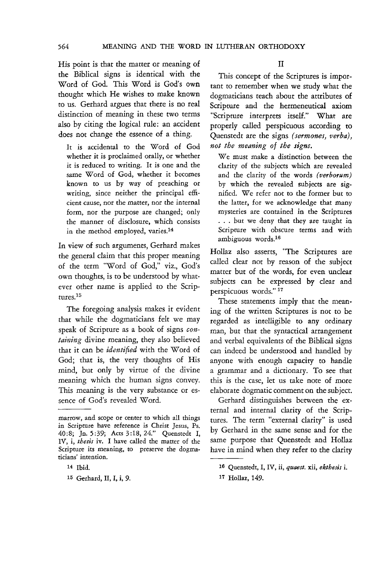564 MEANING AND THE WORD IN LUTHERAN ORTHODOXY

His point *is* that the matter or meaning of the Biblical signs is identical with the Word of God. This Word *is* God's own thought which He wishes to make known to us. Gerhard argues that there is no real distinction of meaning in these two terms also by citing the logical rule: an accident does not change the essence of a thing.

It is accidental to the Word of God whether it is proclaimed orally, or whether it is reduced to writing. It is one and the same Word of God, whether it becomes known to us by way of preaching or writing, since neither the principal efficient cause, nor the matter, nor the internal form, nor the purpose are changed; only the manner of disclosure, which consists in the method employed, varies.14

In view of such arguments, Gerhard makes the general claim that this proper meaning of the term "Word of God," viz., God's own thoughts, is to be understood by whatever other name is applied to the Scriptures.15

The foregoing analysis makes it evident that while the dogmaticians felt we may speak of Scripture as a book of signs *containing* divine meaning, they also believed that it can be *identified* with the Word of God; that is, the very thoughts of His mind, but only by virtue of the divine meaning which the human signs convey. This meaning is the very substance or *es*sence of God's revealed Word.

II

This concept of the Scriptures is important to remember when we study what the dogmaticians teach about the attributes of Scripture and the hermeneutical axiom "Scripture interprets itself." What are properly called perspicuous according to Quenstedt are the signs *(sermones, verba), not the meaning of the signs.* 

We must make a distinction between the clarity of the subjects which are revealed and the clarity of the words (verborum) by which the revealed subjects are signified. We refer not to the former but to the latter, for we acknowledge that many mysteries are contained in the Scriptures . . . but we deny that they are taught in Scripture with obscure terms and with ambiguous words.16

Hollaz also asserts, 'The Scriptures are called clear not by reason of the subject matter but of the words, for even unclear subjects can be expressed by clear and perspicuous words." 17

These statements imply that the meaning of the written Scriptures is not to be regarded as intelligible to any ordinary man, but that the syntactical arrangement and verbal equivalents of the Biblical signs can indeed be understood and handled by anyone with enough capacity to handle a grammar and a dictionary. To see that this is the case, let us take note of more elaborate dogmatic comment on the subject.

Gerhard distinguishes between the external and internal clarity of the Scriptures. The term "external clarity" is used by Gerhard in the same sense and for the same purpose that Quenstedt and Hollaz have in mind when they refer to the clarity

marrow, and scope or center to which all things in Scripture have reference is Christ Jesus, Ps. 40:8; In. 5 :39; Acts 3 :18,24." Quenstedt I, IV, i, *thesis* iv. 1 have called the matter of the Scripture its meaning, to preserve the dogmaticians' intention.

<sup>14</sup> Ibid.

<sup>15</sup> Gerhard, II, I, i, 9.

<sup>16</sup> Quenstedt, I, IV, ii, *quaest.* xii, *ekehesis* i.

<sup>17</sup> Hollaz, 149.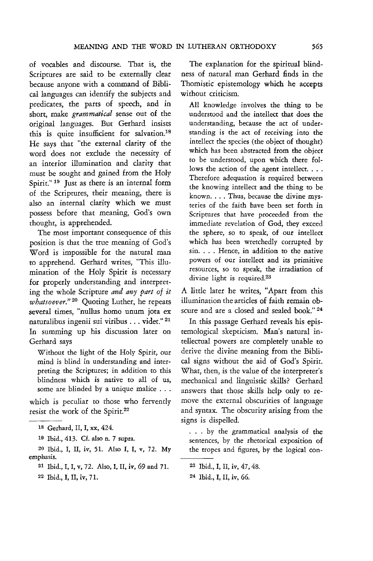of vocables and discourse. That is, the Scriptures are said to be externally dear because anyone with a command of Biblical languages can identify the subjects and predicates, the parts of speech, and in short, make *grammatical* sense out of the original languages. But Gerhard insists this is quite insufficient for salvation.<sup>18</sup> He says that "the external clarity of the word does not exclude the necessity of an interior illumination and clarity that must be sought and gained from the Holy Spirit."<sup>19</sup> Just as there is an internal form of the Scriptures, their meaning, there is also an internal clarity which we must possess before that meaning, God's own thought, is apprehended.

The most important consequence of this position is that the true meaning of God's Word is impossible for the natural man to apprehend. Gerhard writes, "This illumination of the Holy Spirit is necessary for properly understanding and interpreting the whole Scripture *and any part of it whatsoever."* 20 Quoting Luther, he repeats several times, "nullus homo unum jota ex naturalibus ingenii sui viribus ... videt." 21 In summing up his discussion later on Gerhard says

Without the light of the Holy Spirit, our mind is blind in understanding and interpreting the Scriptures; in addition to this blindness which is native to all of us, some are blinded by a unique malice . . .

which is peculiar to those who fervently resist the work of the Spirit.22

19 Ibid.,413. Cf. also n. 7 supra.

20 Ibid., I, II, iv, 51. Also I, I, v, 72. My emphasis.

- 21 Ibid., I, I, v, 72. Also, I, II. iv, 69 and 71.
- 22 Ibid., I, II, iv, 71.

The explanation for the spiritual blindness of natural man Gerhard finds in the Thomistic epistemology which he accepts without criticism.

All knowledge involves the thing to be understood and the intellect that does the understanding, because the act of understanding is the act of receiving into the intellect the species (the object of thought) which has been abstracted from the object to be understood, upon which there follows the action of the agent intellect. . . . Therefore adequation is required between the knowing intellect and the thing to be known.... Thus, because the divine mysteries of the faith have been set forth in Scriptures that have proceeded from the immediate revelation of God, they exceed the sphere, so to speak, of our intellect which has been wretchedly corrupted by sin. . . . Hence, in addition to the native powers of our intellect and its primitive resources, so to speak, the irradiation of divine light is required.<sup>23</sup>

A little later he writes, "Apart from this illumination the articles of faith remain obscure and are a closed and sealed book." 24

In this passage Gerhard reveals his epistemological skepticism. Man's natural intellectual powers are completely unable to derive the divine meaning from the Biblical signs without the aid of God's Spirit. What, then, is the value of the interpreter's mechanical and linguistic skills? Gerhard answers that those skills help only to remove the external obscurities of language and syntax. The obscurity arising from the signs is dispelled.

. . . by the grammatical analysis of the sentences, by the rhetorical exposition of the tropes and figures, by the logical con-

23 Ibid., I, II, iv, 47,48.

<sup>18</sup> Gerhard, II, I, xx, 424.

<sup>24</sup> Ibid., I, II, iv, 66.